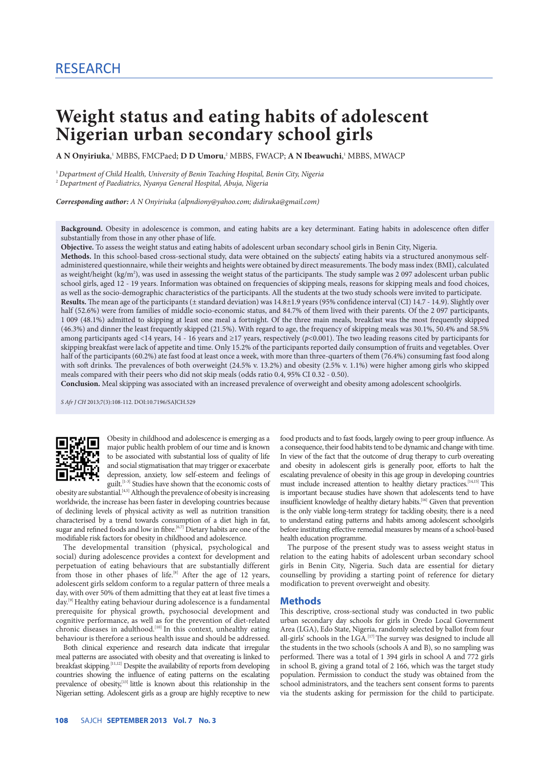# **Weight status and eating habits of adolescent Nigerian urban secondary school girls**

**A N Onyiriuka**, <sup>1</sup> MBBS, FMCPaed; **D D Umoru**, 2 MBBS, FWACP; **A N Ibeawuchi**, <sup>1</sup> MBBS, MWACP

<sup>1</sup>*Department of Child Health, University of Benin Teaching Hospital, Benin City, Nigeria* <sup>2</sup> *Department of Paediatrics, Nyanya General Hospital, Abuja, Nigeria*

*Corresponding author: A N Onyiriuka (alpndiony@yahoo.com; didiruka@gmail.com)*

**Background.** Obesity in adolescence is common, and eating habits are a key determinant. Eating habits in adolescence often differ substantially from those in any other phase of life.

**Objective.** To assess the weight status and eating habits of adolescent urban secondary school girls in Benin City, Nigeria.

**Methods.** In this school-based cross-sectional study, data were obtained on the subjects' eating habits via a structured anonymous selfadministered questionnaire, while their weights and heights were obtained by direct measurements. The body mass index (BMI), calculated as weight/height (kg/m<sup>2</sup>), was used in assessing the weight status of the participants. The study sample was 2 097 adolescent urban public school girls, aged 12 - 19 years. Information was obtained on frequencies of skipping meals, reasons for skipping meals and food choices, as well as the socio-demographic characteristics of the participants. All the students at the two study schools were invited to participate. **Results.** The mean age of the participants (± standard deviation) was 14.8±1.9 years (95% confidence interval (CI) 14.7 - 14.9). Slightly over

half (52.6%) were from families of middle socio-economic status, and 84.7% of them lived with their parents. Of the 2 097 participants, 1 009 (48.1%) admitted to skipping at least one meal a fortnight. Of the three main meals, breakfast was the most frequently skipped (46.3%) and dinner the least frequently skipped (21.5%). With regard to age, the frequency of skipping meals was 30.1%, 50.4% and 58.5% among participants aged <14 years, 14 - 16 years and ≥17 years, respectively (*p*<0.001). The two leading reasons cited by participants for skipping breakfast were lack of appetite and time. Only 15.2% of the participants reported daily consumption of fruits and vegetables. Over half of the participants (60.2%) ate fast food at least once a week, with more than three-quarters of them (76.4%) consuming fast food along with soft drinks. The prevalences of both overweight (24.5% v. 13.2%) and obesity (2.5% v. 1.1%) were higher among girls who skipped meals compared with their peers who did not skip meals (odds ratio 0.4, 95% CI 0.32 - 0.50).

**Conclusion.** Meal skipping was associated with an increased prevalence of overweight and obesity among adolescent schoolgirls.

*S Afr J CH* 2013;7(3):108-112. DOI:10.7196/SAJCH.529



Obesity in childhood and adolescence is emerging as a major public health problem of our time and is known to be associated with substantial loss of quality of life and social stigmatisation that may trigger or exacerbate depression, anxiety, low self-esteem and feelings of guilt.<sup>[1-3]</sup> Studies have shown that the economic costs of

obesity are substantial.<sup>[4,5]</sup> Although the prevalence of obesity is increasing worldwide, the increase has been faster in developing countries because of declining levels of physical activity as well as nutrition transition characterised by a trend towards consumption of a diet high in fat, sugar and refined foods and low in fibre.<sup>[6,7]</sup> Dietary habits are one of the modifiable risk factors for obesity in childhood and adolescence.

The developmental transition (physical, psychological and social) during adolescence provides a context for development and perpetuation of eating behaviours that are substantially different from those in other phases of life.<sup>[8]</sup> After the age of 12 years, adolescent girls seldom conform to a regular pattern of three meals a day, with over 50% of them admitting that they eat at least five times a day.<sup>[9]</sup> Healthy eating behaviour during adolescence is a fundamental prerequisite for physical growth, psychosocial development and cognitive performance, as well as for the prevention of diet-related chronic diseases in adulthood.<sup>[10]</sup> In this context, unhealthy eating behaviour is therefore a serious health issue and should be addressed.

Both clinical experience and research data indicate that irregular meal patterns are associated with obesity and that overeating is linked to breakfast skipping.<sup>[11,12]</sup> Despite the availability of reports from developing countries showing the influence of eating patterns on the escalating prevalence of obesity, $^{[13]}$  little is known about this relationship in the Nigerian setting. Adolescent girls as a group are highly receptive to new food products and to fast foods, largely owing to peer group influence. As a consequence, their food habits tend to be dynamic and change with time. In view of the fact that the outcome of drug therapy to curb overeating and obesity in adolescent girls is generally poor, efforts to halt the escalating prevalence of obesity in this age group in developing countries must include increased attention to healthy dietary practices.<sup>[14,15]</sup> This is important because studies have shown that adolescents tend to have insufficient knowledge of healthy dietary habits.<sup>[16]</sup> Given that prevention is the only viable long-term strategy for tackling obesity, there is a need to understand eating patterns and habits among adolescent schoolgirls before instituting effective remedial measures by means of a school-based health education programme.

The purpose of the present study was to assess weight status in relation to the eating habits of adolescent urban secondary school girls in Benin City, Nigeria. Such data are essential for dietary counselling by providing a starting point of reference for dietary modification to prevent overweight and obesity.

### **Methods**

This descriptive, cross-sectional study was conducted in two public urban secondary day schools for girls in Oredo Local Government Area (LGA), Edo State, Nigeria, randomly selected by ballot from four all-girls' schools in the LGA.<sup>[17]</sup> The survey was designed to include all the students in the two schools (schools A and B), so no sampling was performed. There was a total of 1 394 girls in school A and 772 girls in school B, giving a grand total of 2 166, which was the target study population. Permission to conduct the study was obtained from the school administrators, and the teachers sent consent forms to parents via the students asking for permission for the child to participate.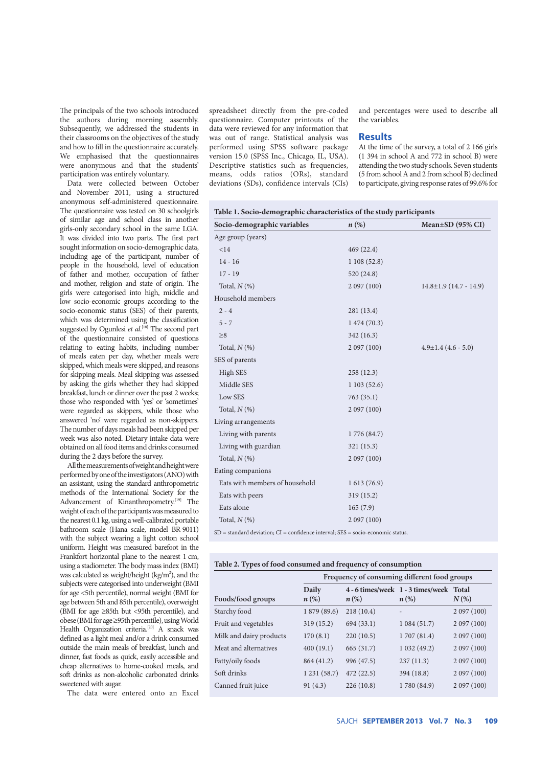The principals of the two schools introduced the authors during morning assembly. Subsequently, we addressed the students in their classrooms on the objectives of the study and how to fill in the questionnaire accurately. We emphasised that the questionnaires were anonymous and that the students' participation was entirely voluntary.

Data were collected between October and November 2011, using a structured anonymous self-administered questionnaire. The questionnaire was tested on 30 schoolgirls of similar age and school class in another girls-only secondary school in the same LGA. It was divided into two parts. The first part sought information on socio-demographic data, including age of the participant, number of people in the household, level of education of father and mother, occupation of father and mother, religion and state of origin. The girls were categorised into high, middle and low socio-economic groups according to the socio-economic status (SES) of their parents, which was determined using the classification suggested by Ogunlesi *et al*. [18] The second part of the questionnaire consisted of questions relating to eating habits, including number of meals eaten per day, whether meals were skipped, which meals were skipped, and reasons for skipping meals. Meal skipping was assessed by asking the girls whether they had skipped breakfast, lunch or dinner over the past 2 weeks; those who responded with 'yes' or 'sometimes' were regarded as skippers, while those who answered 'no' were regarded as non-skippers. The number of days meals had been skipped per week was also noted. Dietary intake data were obtained on all food items and drinks consumed during the 2 days before the survey.

All the measurements of weight and height were performed by one of the investigators (ANO) with an assistant, using the standard anthropometric methods of the International Society for the Advancement of Kinanthropometry.<sup>[19]</sup> The weight of each of the participants was measured to the nearest 0.1 kg, using a well-calibrated portable bathroom scale (Hana scale, model BR-9011) with the subject wearing a light cotton school uniform. Height was measured barefoot in the Frankfort horizontal plane to the nearest 1 cm, using a stadiometer. The body mass index (BMI) was calculated as weight/height  $(kg/m<sup>2</sup>)$ , and the subjects were categorised into underweight (BMI for age <5th percentile), normal weight (BMI for age between 5th and 85th percentile), overweight (BMI for age ≥85th but <95th percentile), and obese (BMI for age ≥95th percentile), using World Health Organization criteria.<sup>[20]</sup> A snack was defined as a light meal and/or a drink consumed outside the main meals of breakfast, lunch and dinner, fast foods as quick, easily accessible and cheap alternatives to home-cooked meals, and soft drinks as non-alcoholic carbonated drinks sweetened with sugar.

The data were entered onto an Excel

spreadsheet directly from the pre-coded questionnaire. Computer printouts of the data were reviewed for any information that was out of range. Statistical analysis was performed using SPSS software package version 15.0 (SPSS Inc., Chicago, IL, USA). Descriptive statistics such as frequencies, means, odds ratios (ORs), standard deviations (SDs), confidence intervals (CIs) and percentages were used to describe all the variables.

#### **Results**

At the time of the survey, a total of 2 166 girls (1 394 in school A and 772 in school B) were attending the two study schools. Seven students (5 from school A and 2 from school B) declined to participate, giving response rates of 99.6% for

| Socio-demographic variables                                                                    | $n\left(\%\right)$ | Mean $\pm$ SD (95% CI)       |
|------------------------------------------------------------------------------------------------|--------------------|------------------------------|
| Age group (years)                                                                              |                    |                              |
| < 14                                                                                           | 469(22.4)          |                              |
| $14 - 16$                                                                                      | 1108(52.8)         |                              |
| $17 - 19$                                                                                      | 520(24.8)          |                              |
| Total, $N$ (%)                                                                                 | 2097(100)          | $14.8 \pm 1.9$ (14.7 - 14.9) |
| Household members                                                                              |                    |                              |
| $2 - 4$                                                                                        | 281 (13.4)         |                              |
| $5 - 7$                                                                                        | 1474(70.3)         |                              |
| $\geq 8$                                                                                       | 342(16.3)          |                              |
| Total, $N$ (%)                                                                                 | 2097(100)          | $4.9 \pm 1.4$ (4.6 - 5.0)    |
| SES of parents                                                                                 |                    |                              |
| High SES                                                                                       | 258(12.3)          |                              |
| Middle SES                                                                                     | 1103(52.6)         |                              |
| Low SES                                                                                        | 763 (35.1)         |                              |
| Total, $N$ (%)                                                                                 | 2 097 (100)        |                              |
| Living arrangements                                                                            |                    |                              |
| Living with parents                                                                            | 1776 (84.7)        |                              |
| Living with guardian                                                                           | 321(15.3)          |                              |
| Total, $N$ (%)                                                                                 | 2 097 (100)        |                              |
| Eating companions                                                                              |                    |                              |
| Eats with members of household                                                                 | 1613(76.9)         |                              |
| Eats with peers                                                                                | 319 (15.2)         |                              |
| Eats alone                                                                                     | 165(7.9)           |                              |
| Total, $N$ (%)                                                                                 | 2097(100)          |                              |
| $SD = standard deviation$ ; $CI = confidence$ interval; $SES = socio\text{-}economic status$ . |                    |                              |

| Table 2. Types of food consumed and frequency of consumption |  |  |  |
|--------------------------------------------------------------|--|--|--|
|                                                              |  |  |  |

|                         | Frequency of consuming different food groups |                    |                                                               |           |
|-------------------------|----------------------------------------------|--------------------|---------------------------------------------------------------|-----------|
| Foods/food groups       | Daily<br>$n\left(\%\right)$                  | $n\left(\%\right)$ | 4 - 6 times/week 1 - 3 times/week Total<br>$n\left(\%\right)$ | $N(\%)$   |
| Starchy food            | 1 879 (89.6)                                 | 218(10.4)          |                                                               | 2097(100) |
| Fruit and vegetables    | 319(15.2)                                    | 694(33.1)          | 1084(51.7)                                                    | 2097(100) |
| Milk and dairy products | 170(8.1)                                     | 220(10.5)          | 1 707 (81.4)                                                  | 2097(100) |
| Meat and alternatives   | 400(19.1)                                    | 665 (31.7)         | 1 032 (49.2)                                                  | 2097(100) |
| Fatty/oily foods        | 864 (41.2)                                   | 996 (47.5)         | 237(11.3)                                                     | 2097(100) |
| Soft drinks             | 1231(58.7)                                   | 472(22.5)          | 394 (18.8)                                                    | 2097(100) |
| Canned fruit juice      | 91(4.3)                                      | 226(10.8)          | 1780 (84.9)                                                   | 2097(100) |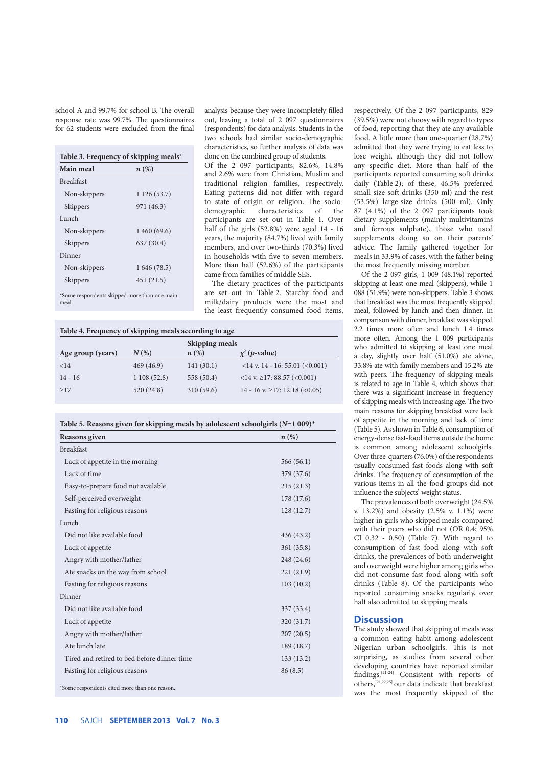school A and 99.7% for school B. The overall response rate was 99.7%. The questionnaires for 62 students were excluded from the final

| Main meal        | $n\left(\%\right)$ |
|------------------|--------------------|
| <b>Breakfast</b> |                    |
| Non-skippers     | 1 126 (53.7)       |
| Skippers         | 971 (46.3)         |
| Lunch            |                    |
| Non-skippers     | 1460(69.6)         |
| Skippers         | 637 (30.4)         |
| Dinner           |                    |
| Non-skippers     | 1 646 (78.5)       |
| Skippers         | 451 (21.5)         |

\*Some respondents skipped more than one main meal.

analysis because they were incompletely filled out, leaving a total of 2 097 questionnaires (respondents) for data analysis. Students in the two schools had similar socio-demographic characteristics, so further analysis of data was done on the combined group of students.

Of the 2 097 participants, 82.6%, 14.8% and 2.6% were from Christian, Muslim and traditional religion families, respectively. Eating patterns did not differ with regard to state of origin or religion. The sociodemographic characteristics of the participants are set out in Table 1. Over half of the girls (52.8%) were aged 14 - 16 years, the majority (84.7%) lived with family members, and over two-thirds (70.3%) lived in households with five to seven members. More than half (52.6%) of the participants came from families of middle SES.

The dietary practices of the participants are set out in Table 2. Starchy food and milk/dairy products were the most and the least frequently consumed food items,

| Table 4. Frequency of skipping meals according to age |  |  |  |  |  |  |
|-------------------------------------------------------|--|--|--|--|--|--|
|-------------------------------------------------------|--|--|--|--|--|--|

|                   |            | Skipping meals     |                                         |
|-------------------|------------|--------------------|-----------------------------------------|
| Age group (years) | $N(\%)$    | $n\left(\%\right)$ | $\chi^2$ ( <i>p</i> -value)             |
| <14               | 469(46.9)  | 141(30.1)          | $<$ 14 v. 14 - 16: 55.01 ( $<$ 0.001)   |
| $14 - 16$         | 1108(52.8) | 558 (50.4)         | $<$ 14 v. $\geq$ 17: 88.57 ( $<$ 0.001) |
| >17               | 520(24.8)  | 310(59.6)          | 14 - 16 v. $\geq$ 17: 12.18 (< 0.05)    |

| Reasons given                               | $n\left(\%\right)$ |
|---------------------------------------------|--------------------|
| <b>Breakfast</b>                            |                    |
| Lack of appetite in the morning             | 566(56.1)          |
| Lack of time                                | 379 (37.6)         |
| Easy-to-prepare food not available          | 215(21.3)          |
| Self-perceived overweight                   | 178 (17.6)         |
| Fasting for religious reasons               | 128(12.7)          |
| Lunch                                       |                    |
| Did not like available food                 | 436 (43.2)         |
| Lack of appetite                            | 361 (35.8)         |
| Angry with mother/father                    | 248 (24.6)         |
| Ate snacks on the way from school           | 221(21.9)          |
| Fasting for religious reasons               | 103(10.2)          |
| Dinner                                      |                    |
| Did not like available food                 | 337 (33.4)         |
| Lack of appetite                            | 320 (31.7)         |
| Angry with mother/father                    | 207(20.5)          |
| Ate lunch late                              | 189 (18.7)         |
| Tired and retired to bed before dinner time | 133(13.2)          |
| Fasting for religious reasons               | 86(8.5)            |

respectively. Of the 2 097 participants, 829 (39.5%) were not choosy with regard to types of food, reporting that they ate any available food. A little more than one-quarter (28.7%) admitted that they were trying to eat less to lose weight, although they did not follow any specific diet. More than half of the participants reported consuming soft drinks daily (Table 2); of these, 46.5% preferred small-size soft drinks (350 ml) and the rest (53.5%) large-size drinks (500 ml). Only 87 (4.1%) of the 2 097 participants took dietary supplements (mainly multivitamins and ferrous sulphate), those who used supplements doing so on their parents' advice. The family gathered together for meals in 33.9% of cases, with the father being the most frequently missing member.

Of the 2 097 girls, 1 009 (48.1%) reported skipping at least one meal (skippers), while 1 088 (51.9%) were non-skippers. Table 3 shows that breakfast was the most frequently skipped meal, followed by lunch and then dinner. In comparison with dinner, breakfast was skipped 2.2 times more often and lunch 1.4 times more often. Among the 1 009 participants who admitted to skipping at least one meal a day, slightly over half (51.0%) ate alone, 33.8% ate with family members and 15.2% ate with peers. The frequency of skipping meals is related to age in Table 4, which shows that there was a significant increase in frequency of skipping meals with increasing age. The two main reasons for skipping breakfast were lack of appetite in the morning and lack of time (Table 5). As shown in Table 6, consumption of energy-dense fast-food items outside the home is common among adolescent schoolgirls. Over three-quarters (76.0%) of the respondents usually consumed fast foods along with soft drinks. The frequency of consumption of the various items in all the food groups did not influence the subjects' weight status.

The prevalences of both overweight (24.5% v. 13.2%) and obesity (2.5% v. 1.1%) were higher in girls who skipped meals compared with their peers who did not (OR 0.4; 95% CI 0.32 - 0.50) (Table 7). With regard to consumption of fast food along with soft drinks, the prevalences of both underweight and overweight were higher among girls who did not consume fast food along with soft drinks (Table 8). Of the participants who reported consuming snacks regularly, over half also admitted to skipping meals.

## **Discussion**

The study showed that skipping of meals was a common eating habit among adolescent Nigerian urban schoolgirls. This is not surprising, as studies from several other developing countries have reported similar findings.[21-24] Consistent with reports of others, $[21,22,25]$  our data indicate that breakfast was the most frequently skipped of the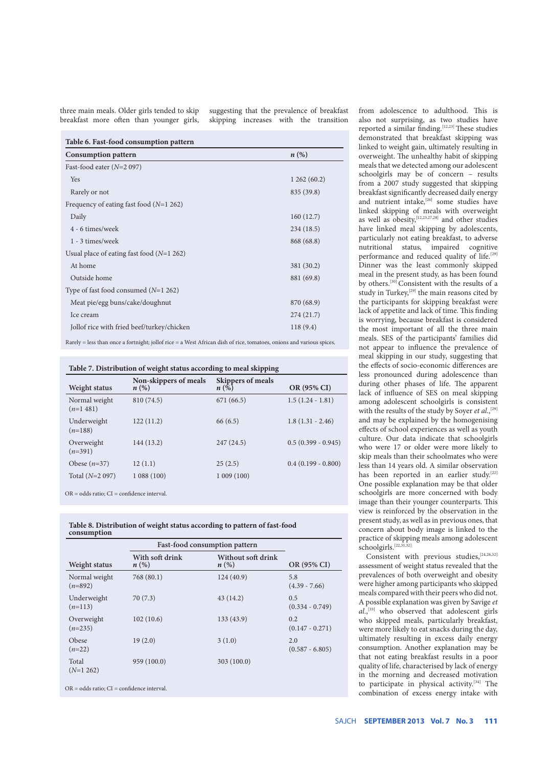three main meals. Older girls tended to skip breakfast more often than younger girls,

suggesting that the prevalence of breakfast skipping increases with the transition

| <b>Consumption pattern</b>                  | $n\left(\%\right)$ |
|---------------------------------------------|--------------------|
| Fast-food eater $(N=2 097)$                 |                    |
| Yes                                         | 1262(60.2)         |
| Rarely or not                               | 835 (39.8)         |
| Frequency of eating fast food $(N=1 262)$   |                    |
| Daily                                       | 160(12.7)          |
| 4 - 6 times/week                            | 234(18.5)          |
| 1 - 3 times/week                            | 868 (68.8)         |
| Usual place of eating fast food $(N=1 262)$ |                    |
| At home                                     | 381 (30.2)         |
| Outside home                                | 881 (69.8)         |
| Type of fast food consumed $(N=1 262)$      |                    |
| Meat pie/egg buns/cake/doughnut             | 870 (68.9)         |
| Ice cream                                   | 274(21.7)          |
| Jollof rice with fried beef/turkey/chicken  | 118(9.4)           |

Rarely = less than once a fortnight; jollof rice = a West African dish of rice, tomatoes, onions and various spices.

| Table 7. Distribution of weight status according to meal skipping |  |  |
|-------------------------------------------------------------------|--|--|
|                                                                   |  |  |

| Weight status                 | Non-skippers of meals<br>$n\left(\%\right)$ | <b>Skippers of meals</b><br>$n\left(\%\right)$ | OR (95% CI)          |
|-------------------------------|---------------------------------------------|------------------------------------------------|----------------------|
| Normal weight<br>$(n=1, 481)$ | 810 (74.5)                                  | 671 (66.5)                                     | $1.5(1.24 - 1.81)$   |
| Underweight<br>$(n=188)$      | 122(11.2)                                   | 66(6.5)                                        | $1.8(1.31 - 2.46)$   |
| Overweight<br>$(n=391)$       | 144 (13.2)                                  | 247(24.5)                                      | $0.5(0.399 - 0.945)$ |
| Obese $(n=37)$                | 12(1.1)                                     | 25(2.5)                                        | $0.4(0.199 - 0.800)$ |
| Total $(N=2 097)$             | 1088(100)                                   | 1009(100)                                      |                      |

OR = odds ratio; CI = confidence interval.

**Table 8. Distribution of weight status according to pattern of fast-food consumption**

|                                                  | Fast-food consumption pattern         |                                          |                          |
|--------------------------------------------------|---------------------------------------|------------------------------------------|--------------------------|
| Weight status                                    | With soft drink<br>$n\left(\%\right)$ | Without soft drink<br>$n\left(\%\right)$ | OR (95% CI)              |
| Normal weight<br>$(n=892)$                       | 768(80.1)                             | 124(40.9)                                | 5.8<br>$(4.39 - 7.66)$   |
| Underweight<br>$(n=113)$                         | 70(7.3)                               | 43(14.2)                                 | 0.5<br>$(0.334 - 0.749)$ |
| Overweight<br>$(n=235)$                          | 102(10.6)                             | 133 (43.9)                               | 0.2<br>$(0.147 - 0.271)$ |
| Obese<br>$(n=22)$                                | 19(2.0)                               | 3(1.0)                                   | 2.0<br>$(0.587 - 6.805)$ |
| Total<br>$(N=1 262)$                             | 959 (100.0)                           | 303(100.0)                               |                          |
| $OR = odds ratio$ : $CI = confidence interval$ . |                                       |                                          |                          |

from adolescence to adulthood. This is also not surprising, as two studies have reported a similar finding.<sup>[12,23]</sup> These studies demonstrated that breakfast skipping was linked to weight gain, ultimately resulting in overweight. The unhealthy habit of skipping meals that we detected among our adolescent schoolgirls may be of concern – results from a 2007 study suggested that skipping breakfast significantly decreased daily energy and nutrient intake,<sup>[26]</sup> some studies have linked skipping of meals with overweight as well as obesity,  $[12,23,27,28]$  and other studies have linked meal skipping by adolescents, particularly not eating breakfast, to adverse nutritional status, impaired cognitive performance and reduced quality of life.<sup>[29]</sup> Dinner was the least commonly skipped meal in the present study, as has been found by others.<sup>[30]</sup> Consistent with the results of a study in Turkey,<sup>[29]</sup> the main reasons cited by the participants for skipping breakfast were lack of appetite and lack of time. This finding is worrying, because breakfast is considered the most important of all the three main meals. SES of the participants' families did not appear to influence the prevalence of meal skipping in our study, suggesting that the effects of socio-economic differences are less pronounced during adolescence than during other phases of life. The apparent lack of influence of SES on meal skipping among adolescent schoolgirls is consistent with the results of the study by Soyer *et al.*,<sup>[29]</sup> and may be explained by the homogenising effects of school experiences as well as youth culture. Our data indicate that schoolgirls who were 17 or older were more likely to skip meals than their schoolmates who were less than 14 years old. A similar observation has been reported in an earlier study.<sup>[22]</sup> One possible explanation may be that older schoolgirls are more concerned with body image than their younger counterparts. This view is reinforced by the observation in the present study, as well as in previous ones, that concern about body image is linked to the practice of skipping meals among adolescent schoolgirls.<sup>[22,31,32]</sup>

Consistent with previous studies, [24,26,32] assessment of weight status revealed that the prevalences of both overweight and obesity were higher among participants who skipped meals compared with their peers who did not. A possible explanation was given by Savige *et al*.,[33] who observed that adolescent girls who skipped meals, particularly breakfast, were more likely to eat snacks during the day, ultimately resulting in excess daily energy consumption. Another explanation may be that not eating breakfast results in a poor quality of life, characterised by lack of energy in the morning and decreased motivation to participate in physical activity.[34] The combination of excess energy intake with